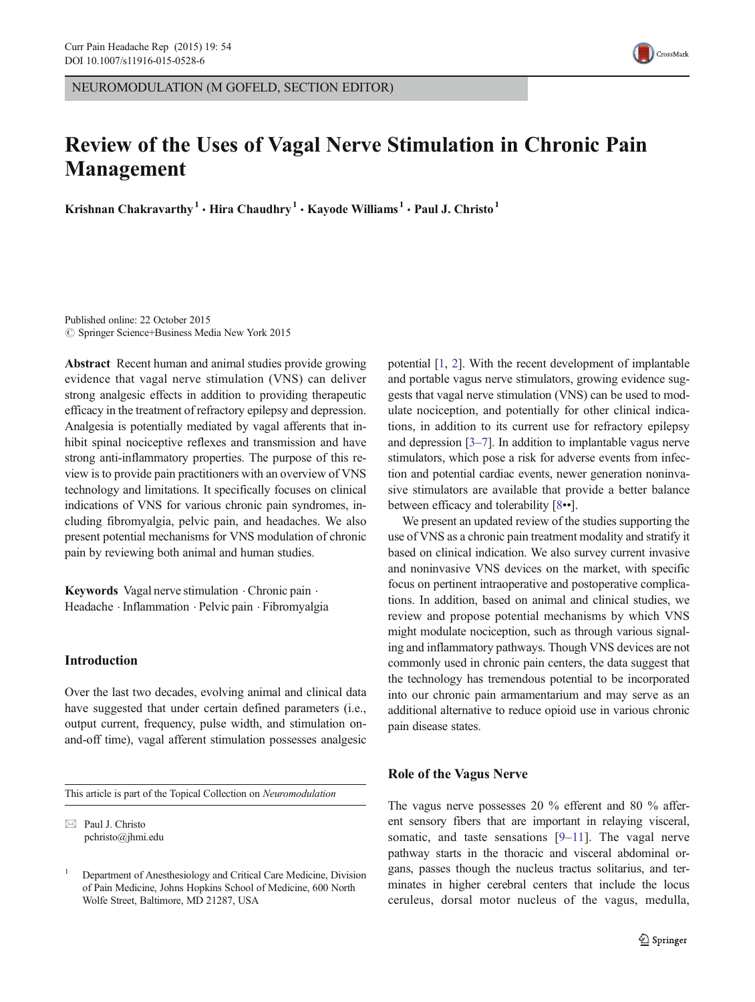NEUROMODULATION (M GOFELD, SECTION EDITOR)

# Review of the Uses of Vagal Nerve Stimulation in Chronic Pain Management

Krishnan Chakravarthy<sup>1</sup> • Hira Chaudhry<sup>1</sup> • Kayode Williams<sup>1</sup> • Paul J. Christo<sup>1</sup>

Published online: 22 October 2015  $\circ$  Springer Science+Business Media New York 2015

Abstract Recent human and animal studies provide growing evidence that vagal nerve stimulation (VNS) can deliver strong analgesic effects in addition to providing therapeutic efficacy in the treatment of refractory epilepsy and depression. Analgesia is potentially mediated by vagal afferents that inhibit spinal nociceptive reflexes and transmission and have strong anti-inflammatory properties. The purpose of this review is to provide pain practitioners with an overview of VNS technology and limitations. It specifically focuses on clinical indications of VNS for various chronic pain syndromes, including fibromyalgia, pelvic pain, and headaches. We also present potential mechanisms for VNS modulation of chronic pain by reviewing both animal and human studies.

Keywords Vagal nerve stimulation  $\cdot$  Chronic pain  $\cdot$ Headache . Inflammation . Pelvic pain . Fibromyalgia

## Introduction

Over the last two decades, evolving animal and clinical data have suggested that under certain defined parameters (i.e., output current, frequency, pulse width, and stimulation onand-off time), vagal afferent stimulation possesses analgesic

This article is part of the Topical Collection on Neuromodulation

 $\boxtimes$  Paul J. Christo pchristo@jhmi.edu potential [\[1,](#page-6-0) [2\]](#page-6-0). With the recent development of implantable and portable vagus nerve stimulators, growing evidence suggests that vagal nerve stimulation (VNS) can be used to modulate nociception, and potentially for other clinical indications, in addition to its current use for refractory epilepsy and depression  $[3-7]$  $[3-7]$  $[3-7]$ . In addition to implantable vagus nerve stimulators, which pose a risk for adverse events from infection and potential cardiac events, newer generation noninvasive stimulators are available that provide a better balance between efficacy and tolerability [\[8](#page-6-0)••].

We present an updated review of the studies supporting the use of VNS as a chronic pain treatment modality and stratify it based on clinical indication. We also survey current invasive and noninvasive VNS devices on the market, with specific focus on pertinent intraoperative and postoperative complications. In addition, based on animal and clinical studies, we review and propose potential mechanisms by which VNS might modulate nociception, such as through various signaling and inflammatory pathways. Though VNS devices are not commonly used in chronic pain centers, the data suggest that the technology has tremendous potential to be incorporated into our chronic pain armamentarium and may serve as an additional alternative to reduce opioid use in various chronic pain disease states.

### Role of the Vagus Nerve

The vagus nerve possesses 20 % efferent and 80 % afferent sensory fibers that are important in relaying visceral, somatic, and taste sensations [\[9](#page-6-0)–[11](#page-6-0)]. The vagal nerve pathway starts in the thoracic and visceral abdominal organs, passes though the nucleus tractus solitarius, and terminates in higher cerebral centers that include the locus ceruleus, dorsal motor nucleus of the vagus, medulla,



<sup>1</sup> Department of Anesthesiology and Critical Care Medicine, Division of Pain Medicine, Johns Hopkins School of Medicine, 600 North Wolfe Street, Baltimore, MD 21287, USA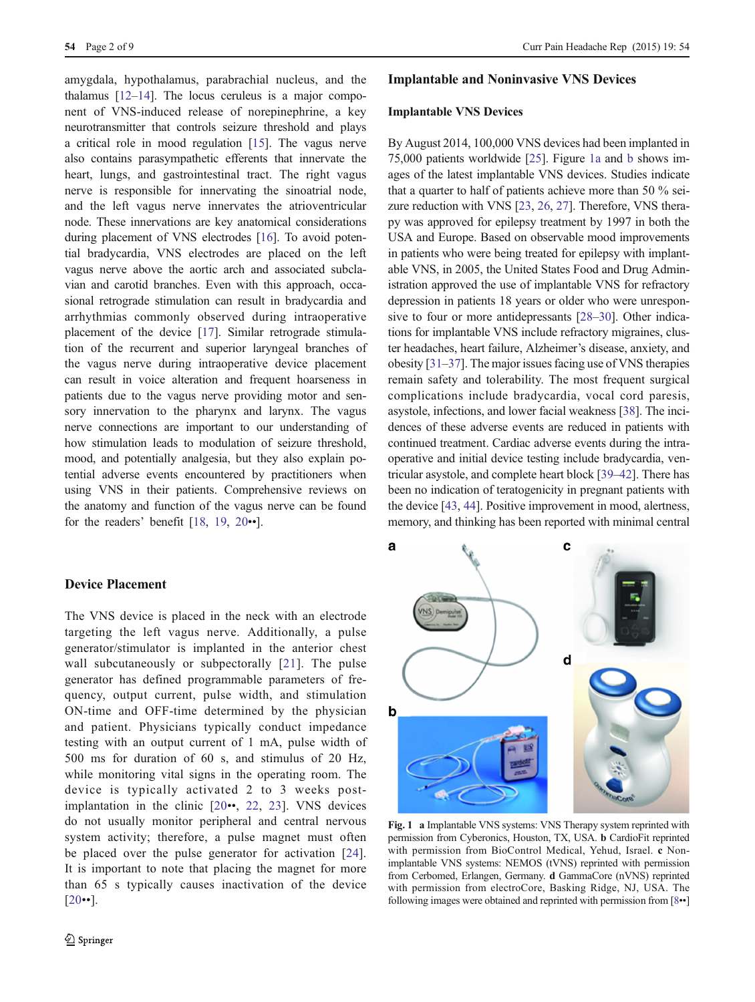<span id="page-1-0"></span>amygdala, hypothalamus, parabrachial nucleus, and the thalamus [\[12](#page-6-0)–[14](#page-7-0)]. The locus ceruleus is a major component of VNS-induced release of norepinephrine, a key neurotransmitter that controls seizure threshold and plays a critical role in mood regulation [\[15\]](#page-7-0). The vagus nerve also contains parasympathetic efferents that innervate the heart, lungs, and gastrointestinal tract. The right vagus nerve is responsible for innervating the sinoatrial node, and the left vagus nerve innervates the atrioventricular node. These innervations are key anatomical considerations during placement of VNS electrodes [\[16](#page-7-0)]. To avoid potential bradycardia, VNS electrodes are placed on the left vagus nerve above the aortic arch and associated subclavian and carotid branches. Even with this approach, occasional retrograde stimulation can result in bradycardia and arrhythmias commonly observed during intraoperative placement of the device [\[17](#page-7-0)]. Similar retrograde stimulation of the recurrent and superior laryngeal branches of the vagus nerve during intraoperative device placement can result in voice alteration and frequent hoarseness in patients due to the vagus nerve providing motor and sensory innervation to the pharynx and larynx. The vagus nerve connections are important to our understanding of how stimulation leads to modulation of seizure threshold, mood, and potentially analgesia, but they also explain potential adverse events encountered by practitioners when using VNS in their patients. Comprehensive reviews on the anatomy and function of the vagus nerve can be found for the readers' benefit [\[18](#page-7-0), [19,](#page-7-0) [20](#page-7-0)••].

### Device Placement

The VNS device is placed in the neck with an electrode targeting the left vagus nerve. Additionally, a pulse generator/stimulator is implanted in the anterior chest wall subcutaneously or subpectorally [[21\]](#page-7-0). The pulse generator has defined programmable parameters of frequency, output current, pulse width, and stimulation ON-time and OFF-time determined by the physician and patient. Physicians typically conduct impedance testing with an output current of 1 mA, pulse width of 500 ms for duration of 60 s, and stimulus of 20 Hz, while monitoring vital signs in the operating room. The device is typically activated 2 to 3 weeks postimplantation in the clinic [[20](#page-7-0)••, [22](#page-7-0), [23](#page-7-0)]. VNS devices do not usually monitor peripheral and central nervous system activity; therefore, a pulse magnet must often be placed over the pulse generator for activation [[24](#page-7-0)]. It is important to note that placing the magnet for more than 65 s typically causes inactivation of the device  $[20\bullet]$  $[20\bullet]$ .

### Implantable and Noninvasive VNS Devices

### Implantable VNS Devices

By August 2014, 100,000 VNS devices had been implanted in 75,000 patients worldwide [[25](#page-7-0)]. Figure 1a and b shows images of the latest implantable VNS devices. Studies indicate that a quarter to half of patients achieve more than 50 % seizure reduction with VNS [\[23](#page-7-0), [26,](#page-7-0) [27\]](#page-7-0). Therefore, VNS therapy was approved for epilepsy treatment by 1997 in both the USA and Europe. Based on observable mood improvements in patients who were being treated for epilepsy with implantable VNS, in 2005, the United States Food and Drug Administration approved the use of implantable VNS for refractory depression in patients 18 years or older who were unresponsive to four or more antidepressants [[28](#page-7-0)–[30](#page-7-0)]. Other indications for implantable VNS include refractory migraines, cluster headaches, heart failure, Alzheimer's disease, anxiety, and obesity [\[31](#page-7-0)–[37\]](#page-7-0). The major issues facing use of VNS therapies remain safety and tolerability. The most frequent surgical complications include bradycardia, vocal cord paresis, asystole, infections, and lower facial weakness [[38](#page-7-0)]. The incidences of these adverse events are reduced in patients with continued treatment. Cardiac adverse events during the intraoperative and initial device testing include bradycardia, ventricular asystole, and complete heart block [\[39](#page-7-0)–[42\]](#page-7-0). There has been no indication of teratogenicity in pregnant patients with the device [\[43,](#page-7-0) [44\]](#page-7-0). Positive improvement in mood, alertness, memory, and thinking has been reported with minimal central



Fig. 1 a Implantable VNS systems: VNS Therapy system reprinted with permission from Cyberonics, Houston, TX, USA. b CardioFit reprinted with permission from BioControl Medical, Yehud, Israel. c Nonimplantable VNS systems: NEMOS (tVNS) reprinted with permission from Cerbomed, Erlangen, Germany. d GammaCore (nVNS) reprinted with permission from electroCore, Basking Ridge, NJ, USA. The following images were obtained and reprinted with permission from [[8](#page-6-0)••]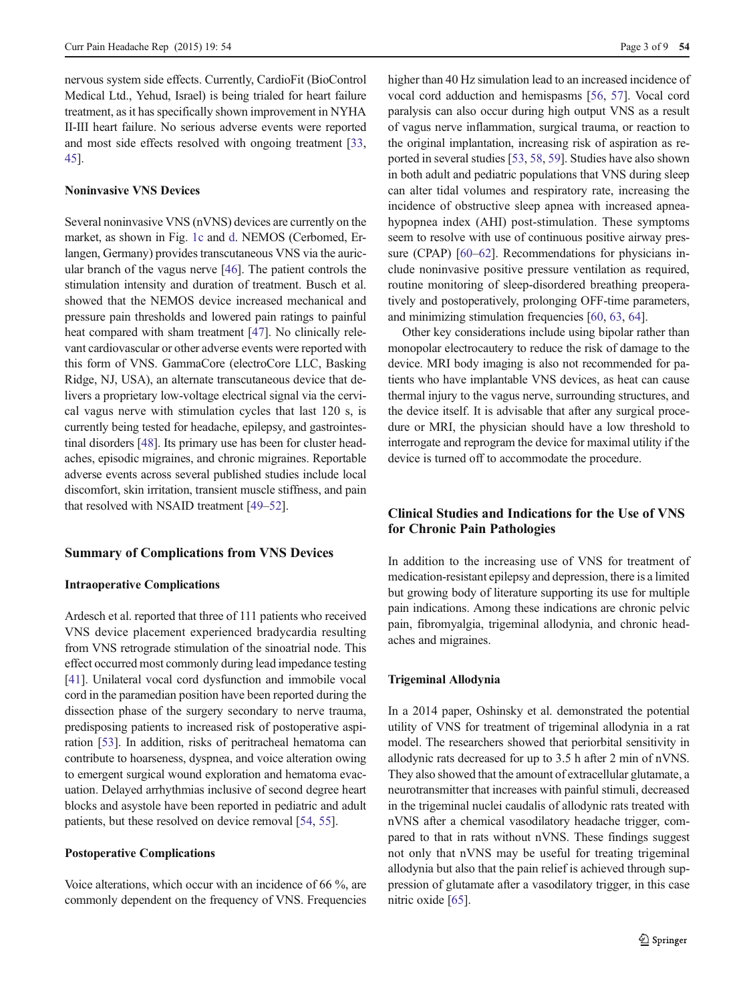nervous system side effects. Currently, CardioFit (BioControl Medical Ltd., Yehud, Israel) is being trialed for heart failure treatment, as it has specifically shown improvement in NYHA II-III heart failure. No serious adverse events were reported and most side effects resolved with ongoing treatment [[33,](#page-7-0) [45\]](#page-7-0).

### Noninvasive VNS Devices

Several noninvasive VNS (nVNS) devices are currently on the market, as shown in Fig. [1c](#page-1-0) and [d](#page-1-0). NEMOS (Cerbomed, Erlangen, Germany) provides transcutaneous VNS via the auricular branch of the vagus nerve [[46](#page-7-0)]. The patient controls the stimulation intensity and duration of treatment. Busch et al. showed that the NEMOS device increased mechanical and pressure pain thresholds and lowered pain ratings to painful heat compared with sham treatment [[47\]](#page-7-0). No clinically relevant cardiovascular or other adverse events were reported with this form of VNS. GammaCore (electroCore LLC, Basking Ridge, NJ, USA), an alternate transcutaneous device that delivers a proprietary low-voltage electrical signal via the cervical vagus nerve with stimulation cycles that last 120 s, is currently being tested for headache, epilepsy, and gastrointestinal disorders [\[48](#page-7-0)]. Its primary use has been for cluster headaches, episodic migraines, and chronic migraines. Reportable adverse events across several published studies include local discomfort, skin irritation, transient muscle stiffness, and pain that resolved with NSAID treatment [[49](#page-7-0)–[52](#page-7-0)].

### Summary of Complications from VNS Devices

### Intraoperative Complications

Ardesch et al. reported that three of 111 patients who received VNS device placement experienced bradycardia resulting from VNS retrograde stimulation of the sinoatrial node. This effect occurred most commonly during lead impedance testing [\[41\]](#page-7-0). Unilateral vocal cord dysfunction and immobile vocal cord in the paramedian position have been reported during the dissection phase of the surgery secondary to nerve trauma, predisposing patients to increased risk of postoperative aspiration [\[53](#page-7-0)]. In addition, risks of peritracheal hematoma can contribute to hoarseness, dyspnea, and voice alteration owing to emergent surgical wound exploration and hematoma evacuation. Delayed arrhythmias inclusive of second degree heart blocks and asystole have been reported in pediatric and adult patients, but these resolved on device removal [[54,](#page-7-0) [55](#page-7-0)].

### Postoperative Complications

Voice alterations, which occur with an incidence of 66 %, are commonly dependent on the frequency of VNS. Frequencies higher than 40 Hz simulation lead to an increased incidence of vocal cord adduction and hemispasms [\[56,](#page-7-0) [57\]](#page-8-0). Vocal cord paralysis can also occur during high output VNS as a result of vagus nerve inflammation, surgical trauma, or reaction to the original implantation, increasing risk of aspiration as reported in several studies [[53,](#page-7-0) [58](#page-8-0), [59](#page-8-0)]. Studies have also shown in both adult and pediatric populations that VNS during sleep can alter tidal volumes and respiratory rate, increasing the incidence of obstructive sleep apnea with increased apneahypopnea index (AHI) post-stimulation. These symptoms seem to resolve with use of continuous positive airway pres-sure (CPAP) [\[60](#page-8-0)–[62\]](#page-8-0). Recommendations for physicians include noninvasive positive pressure ventilation as required, routine monitoring of sleep-disordered breathing preoperatively and postoperatively, prolonging OFF-time parameters, and minimizing stimulation frequencies [\[60](#page-8-0), [63,](#page-8-0) [64\]](#page-8-0).

Other key considerations include using bipolar rather than monopolar electrocautery to reduce the risk of damage to the device. MRI body imaging is also not recommended for patients who have implantable VNS devices, as heat can cause thermal injury to the vagus nerve, surrounding structures, and the device itself. It is advisable that after any surgical procedure or MRI, the physician should have a low threshold to interrogate and reprogram the device for maximal utility if the device is turned off to accommodate the procedure.

# Clinical Studies and Indications for the Use of VNS for Chronic Pain Pathologies

In addition to the increasing use of VNS for treatment of medication-resistant epilepsy and depression, there is a limited but growing body of literature supporting its use for multiple pain indications. Among these indications are chronic pelvic pain, fibromyalgia, trigeminal allodynia, and chronic headaches and migraines.

#### Trigeminal Allodynia

In a 2014 paper, Oshinsky et al. demonstrated the potential utility of VNS for treatment of trigeminal allodynia in a rat model. The researchers showed that periorbital sensitivity in allodynic rats decreased for up to 3.5 h after 2 min of nVNS. They also showed that the amount of extracellular glutamate, a neurotransmitter that increases with painful stimuli, decreased in the trigeminal nuclei caudalis of allodynic rats treated with nVNS after a chemical vasodilatory headache trigger, compared to that in rats without nVNS. These findings suggest not only that nVNS may be useful for treating trigeminal allodynia but also that the pain relief is achieved through suppression of glutamate after a vasodilatory trigger, in this case nitric oxide [\[65](#page-8-0)].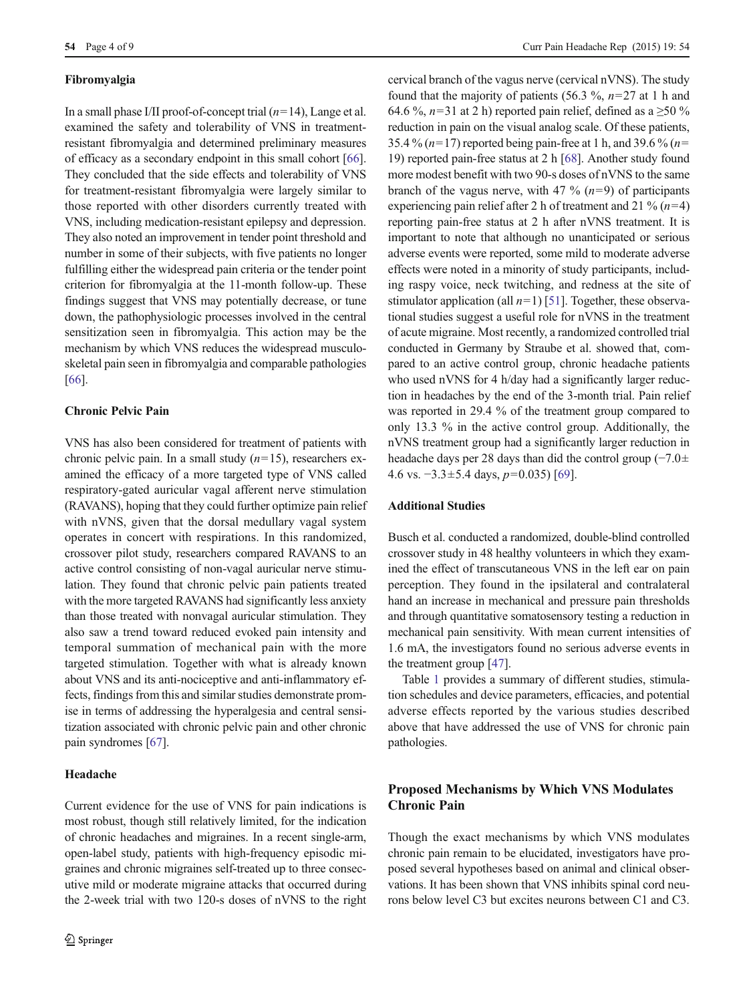### Fibromyalgia

In a small phase I/II proof-of-concept trial  $(n=14)$ , Lange et al. examined the safety and tolerability of VNS in treatmentresistant fibromyalgia and determined preliminary measures of efficacy as a secondary endpoint in this small cohort [[66\]](#page-8-0). They concluded that the side effects and tolerability of VNS for treatment-resistant fibromyalgia were largely similar to those reported with other disorders currently treated with VNS, including medication-resistant epilepsy and depression. They also noted an improvement in tender point threshold and number in some of their subjects, with five patients no longer fulfilling either the widespread pain criteria or the tender point criterion for fibromyalgia at the 11-month follow-up. These findings suggest that VNS may potentially decrease, or tune down, the pathophysiologic processes involved in the central sensitization seen in fibromyalgia. This action may be the mechanism by which VNS reduces the widespread musculoskeletal pain seen in fibromyalgia and comparable pathologies [\[66\]](#page-8-0).

### Chronic Pelvic Pain

VNS has also been considered for treatment of patients with chronic pelvic pain. In a small study  $(n=15)$ , researchers examined the efficacy of a more targeted type of VNS called respiratory-gated auricular vagal afferent nerve stimulation (RAVANS), hoping that they could further optimize pain relief with nVNS, given that the dorsal medullary vagal system operates in concert with respirations. In this randomized, crossover pilot study, researchers compared RAVANS to an active control consisting of non-vagal auricular nerve stimulation. They found that chronic pelvic pain patients treated with the more targeted RAVANS had significantly less anxiety than those treated with nonvagal auricular stimulation. They also saw a trend toward reduced evoked pain intensity and temporal summation of mechanical pain with the more targeted stimulation. Together with what is already known about VNS and its anti-nociceptive and anti-inflammatory effects, findings from this and similar studies demonstrate promise in terms of addressing the hyperalgesia and central sensitization associated with chronic pelvic pain and other chronic pain syndromes [\[67](#page-8-0)].

### Headache

Current evidence for the use of VNS for pain indications is most robust, though still relatively limited, for the indication of chronic headaches and migraines. In a recent single-arm, open-label study, patients with high-frequency episodic migraines and chronic migraines self-treated up to three consecutive mild or moderate migraine attacks that occurred during the 2-week trial with two 120-s doses of nVNS to the right cervical branch of the vagus nerve (cervical nVNS). The study found that the majority of patients (56.3 %,  $n=27$  at 1 h and 64.6 %,  $n=31$  at 2 h) reported pain relief, defined as a  $\geq 50$  % reduction in pain on the visual analog scale. Of these patients, 35.4 %  $(n=17)$  reported being pain-free at 1 h, and 39.6 %  $(n=$ 19) reported pain-free status at 2 h [[68](#page-8-0)]. Another study found more modest benefit with two 90-s doses of nVNS to the same branch of the vagus nerve, with 47 %  $(n=9)$  of participants experiencing pain relief after 2 h of treatment and 21 %  $(n=4)$ reporting pain-free status at 2 h after nVNS treatment. It is important to note that although no unanticipated or serious adverse events were reported, some mild to moderate adverse effects were noted in a minority of study participants, including raspy voice, neck twitching, and redness at the site of stimulator application (all  $n=1$ ) [[51\]](#page-7-0). Together, these observational studies suggest a useful role for nVNS in the treatment of acute migraine. Most recently, a randomized controlled trial conducted in Germany by Straube et al. showed that, compared to an active control group, chronic headache patients who used nVNS for 4 h/day had a significantly larger reduction in headaches by the end of the 3-month trial. Pain relief was reported in 29.4 % of the treatment group compared to only 13.3 % in the active control group. Additionally, the nVNS treatment group had a significantly larger reduction in headache days per 28 days than did the control group (−7.0± 4.6 vs.  $-3.3\pm5.4$  days,  $p=0.035$ ) [\[69\]](#page-8-0).

## Additional Studies

Busch et al. conducted a randomized, double-blind controlled crossover study in 48 healthy volunteers in which they examined the effect of transcutaneous VNS in the left ear on pain perception. They found in the ipsilateral and contralateral hand an increase in mechanical and pressure pain thresholds and through quantitative somatosensory testing a reduction in mechanical pain sensitivity. With mean current intensities of 1.6 mA, the investigators found no serious adverse events in the treatment group [\[47\]](#page-7-0).

Table [1](#page-4-0) provides a summary of different studies, stimulation schedules and device parameters, efficacies, and potential adverse effects reported by the various studies described above that have addressed the use of VNS for chronic pain pathologies.

# Proposed Mechanisms by Which VNS Modulates Chronic Pain

Though the exact mechanisms by which VNS modulates chronic pain remain to be elucidated, investigators have proposed several hypotheses based on animal and clinical observations. It has been shown that VNS inhibits spinal cord neurons below level C3 but excites neurons between C1 and C3.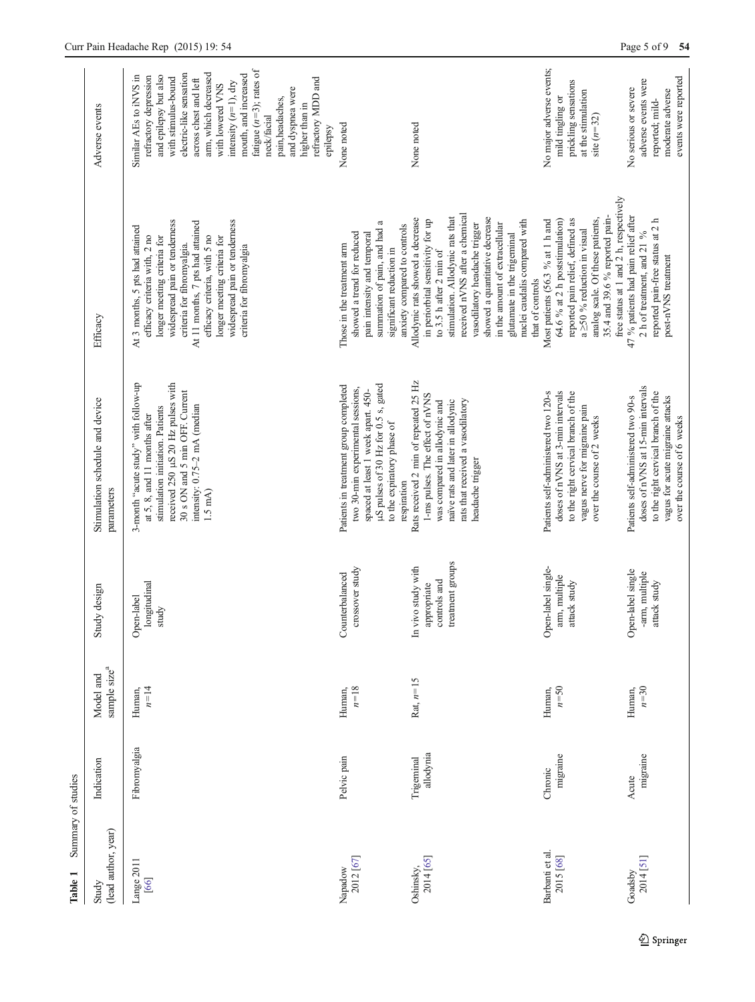<span id="page-4-0"></span>

| Summary of studies<br>Table 1 |                         |                                       |                                                                       |                                                                                                                                                                                                                                     |                                                                                                                                                                                                                                                                                                                                                                 |                                                                                                                                                                                                                                                                                                                                                                                            |
|-------------------------------|-------------------------|---------------------------------------|-----------------------------------------------------------------------|-------------------------------------------------------------------------------------------------------------------------------------------------------------------------------------------------------------------------------------|-----------------------------------------------------------------------------------------------------------------------------------------------------------------------------------------------------------------------------------------------------------------------------------------------------------------------------------------------------------------|--------------------------------------------------------------------------------------------------------------------------------------------------------------------------------------------------------------------------------------------------------------------------------------------------------------------------------------------------------------------------------------------|
| (lead author, year)<br>Study  | Indication              | sample size <sup>a</sup><br>Model and | Study design                                                          | Stimulation schedule and device<br>parameters                                                                                                                                                                                       | Efficacy                                                                                                                                                                                                                                                                                                                                                        | Adverse events                                                                                                                                                                                                                                                                                                                                                                             |
| Lange 2011<br>[66]            | Fibromyalgia            | $n = 14$<br>Human,                    | longitudinal<br>Open-label<br>study                                   | 3-month "acute study" with follow-up<br>received 250 µS 20 Hz pulses with<br>30 s ON and 5 min OFF. Current<br>intensity: 0.75-2 mA (median<br>stimulation initiation. Patients<br>at 5, 8, and 11 months after<br>$1.5 \text{ mA}$ | widespread pain or tenderness<br>widespread pain or tenderness<br>At 11 months, 7 pts had attained<br>At 3 months, 5 pts had attained<br>efficacy criteria with, 2 no<br>efficacy criteria, with 5 no<br>longer meeting criteria for<br>longer meeting criteria for<br>criteria for fibromyalgia.<br>criteria for fibromyalgia                                  | fatigue $(n=3)$ ; rates of<br>arm, which decreased<br>electric-like sensation<br>mouth, and increased<br>Similar AEs to iNVS in<br>and epilepsy but also<br>refractory depression<br>with stimulus-bound<br>refractory MDD and<br>across chest and left<br>intensity $(n=1)$ , dry<br>with lowered VNS<br>and dyspnea were<br>pain,headaches,<br>higher than in<br>neck/facial<br>epilepsy |
| 2012 [67]<br>Napadow          | Pelvic pain             | $n=18$<br>Human,                      | crossover study<br>Counterbalanced                                    | µS pulses of 30 Hz for 0.5 s, gated<br>Patients in treatment group completed<br>two 30-min experimental sessions,<br>spaced at least 1 week apart. 450-<br>to the expiratory phase of<br>respiration                                | $\boldsymbol{\mathfrak{a}}$<br>anxiety compared to controls<br>summation of pain, and had<br>showed a trend for reduced<br>pain intensity and temporal<br>Those in the treatment arm<br>significant reduction in                                                                                                                                                | None noted                                                                                                                                                                                                                                                                                                                                                                                 |
| 2014 [65]<br>Oshinsky,        | allodynia<br>Trigeminal | Rat, $n=15$                           | treatment groups<br>In vivo study with<br>controls and<br>appropriate | Rats received 2 min of repeated 25 Hz<br>1-ms pulses. The effect of nVNS<br>rats that received a vasodilatory<br>naïve rats and later in allodynic<br>was compared in allodynic and<br>headache trigger                             | received nVNS after a chemical<br>stimulation. Allodynic rats that<br>showed a quantitative decrease<br>Allodynic rats showed a decrease<br>in periorbital sensitivity for up<br>nuclei caudalis compared with<br>in the amount of extracellular<br>vasodilatory headache trigger<br>glutamate in the trigeminal<br>to 3.5 h after 2 min of<br>that of controls | None noted                                                                                                                                                                                                                                                                                                                                                                                 |
| Barbanti et al.<br>2015 [68]  | migraine<br>Chronic     | $n=50$<br>Human,                      | Open-label single-<br>am, multiple<br>attack study                    | Patients self-administered two 120-s<br>doses of nVNS at 3-min intervals<br>to the right cervical branch of the<br>vagus nerve for migraine pain<br>over the course of 2 weeks                                                      | free status at 1 and 2 h, respectively<br>35.4 and 39.6 % reported pain-<br>analog scale. Of these patients,<br>reported pain relief, defined as<br>Most patients (56.3 % at 1 h and<br>$64.6\ \%$ at 2 h poststimulation)<br>a $\geq$ 50 % reduction in visual                                                                                                 | No major adverse events;<br>prickling sensations<br>at the stimulation<br>mild tingling or<br>site $(n=32)$                                                                                                                                                                                                                                                                                |
| 2014 [51]<br>Goadsby          | migraine<br>Acute       | $n=30$<br>Human,                      | Open-label single<br>-arm, multiple<br>attack study                   | doses of nVNS at 15-min intervals<br>to the right cervical branch of the<br>Patients self-administered two 90-s<br>vagus for acute migraine attacks<br>over the course of 6 weeks                                                   | 47 % patients had pain relief after<br>reported pain-free status at 2 h<br>$2$ h of treatment, and $21~\%$<br>post-nVNS treatment                                                                                                                                                                                                                               | events were reported<br>adverse events were<br>No serious or severe<br>moderate adverse<br>reported; mild-                                                                                                                                                                                                                                                                                 |

 $\underline{\textcircled{\tiny 2}}$  Springer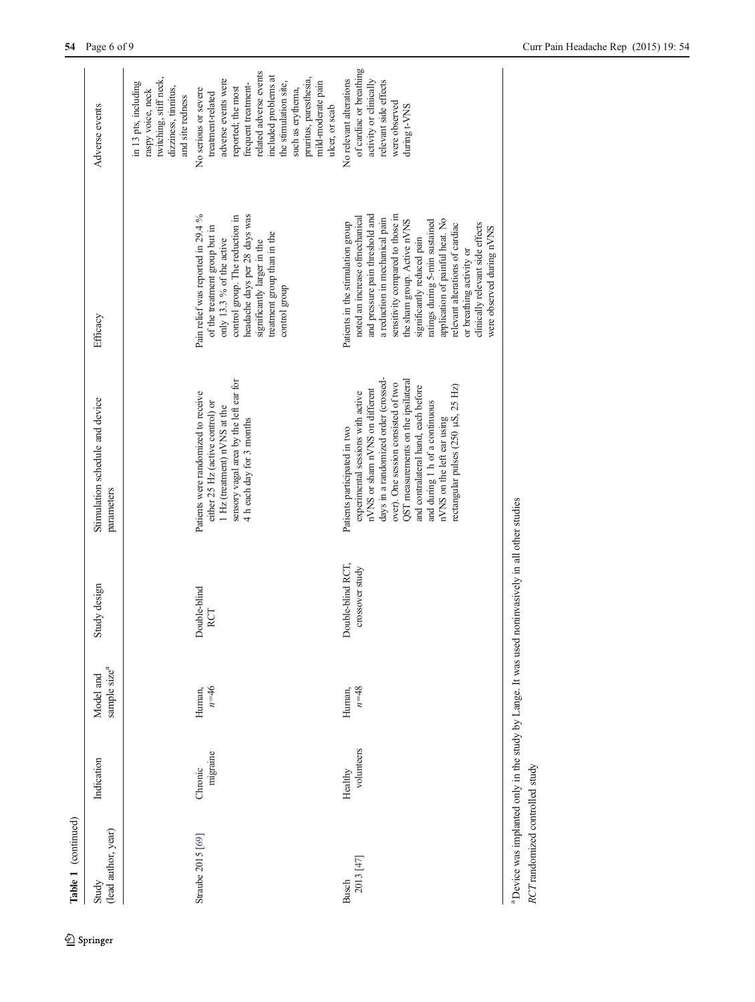| Table 1 (continued)          |                       |                                       |                                      |                                                                                                                                                                                                                                                                                                                                                                        |                                                                                                                                                                                                                                                                                                                                                                                                                                                |                                                                                                                                                                                                                                                               |
|------------------------------|-----------------------|---------------------------------------|--------------------------------------|------------------------------------------------------------------------------------------------------------------------------------------------------------------------------------------------------------------------------------------------------------------------------------------------------------------------------------------------------------------------|------------------------------------------------------------------------------------------------------------------------------------------------------------------------------------------------------------------------------------------------------------------------------------------------------------------------------------------------------------------------------------------------------------------------------------------------|---------------------------------------------------------------------------------------------------------------------------------------------------------------------------------------------------------------------------------------------------------------|
| (lead author, year)<br>Study | Indication            | sample size <sup>a</sup><br>Model and | Study design                         | Stimulation schedule and device<br>parameters                                                                                                                                                                                                                                                                                                                          | Efficacy                                                                                                                                                                                                                                                                                                                                                                                                                                       | Adverse events                                                                                                                                                                                                                                                |
|                              |                       |                                       |                                      |                                                                                                                                                                                                                                                                                                                                                                        |                                                                                                                                                                                                                                                                                                                                                                                                                                                | twitching, stiff neck,<br>in 13 pts, including<br>dizziness, tinnitus,<br>raspy voice, neck<br>and site redness                                                                                                                                               |
| Straube 2015 [69]            | migraine<br>Chronic   | $n = 46$<br>Human,                    | Double-blind<br>RCT                  | sensory vagal area by the left ear for<br>Patients were randomized to receive<br>either 25 Hz (active control) or<br>1 Hz (treatment) nVNS at the<br>4 h each day for 3 months                                                                                                                                                                                         | Pain relief was reported in 29.4 %<br>headache days per 28 days was<br>control group. The reduction in<br>of the treatment group but in<br>treatment group than in the<br>only 13.3 % of the active<br>significantly larger in the<br>control group                                                                                                                                                                                            | related adverse events<br>included problems at<br>pruritus, paresthesia,<br>adverse events were<br>the stimulation site,<br>mild-moderate pain<br>frequent treatment-<br>reported; the most<br>No serious or severe<br>such as erythema,<br>treatment-related |
| 2013 [47]<br>Busch           | volunteers<br>Healthy | $n = 48$<br>Human,                    | Double-blind RCT,<br>crossover study | days in a randomized order (crossed-<br>QST measurements on the ipsilateral<br>over). One session consisted of two<br>rectangular pulses (250 µS, 25 Hz)<br>and contralateral hand, each before<br>nVNS or sham nVNS on different<br>experimental sessions with active<br>and during 1 h of a continuous<br>nVNS on the left ear using<br>Patients participated in two | sensitivity compared to those in<br>and pressure pain threshold and<br>noted an increase ofmechanical<br>a reduction in mechanical pain<br>application of painful heat. No<br>ratings during 5-min sustained<br>the sham group. Active nVNS<br>Patients in the stimulation group<br>clinically relevant side effects<br>relevant alterations of cardiac<br>were observed during nVNS<br>significantly reduced pain<br>or breathing activity or | of cardiac or breathing<br>No relevant alterations<br>activity or clinically<br>relevant side effects<br>were observed<br>during t-VNS<br>ulcer, or scab                                                                                                      |

<sup>a</sup> Device was implanted only in the study by Lange. It was used noninvasively in all other studies Device was implanted only in the study by Lange. It was used noninvasively in all other studies RCT randomized controlled study RCT randomized controlled study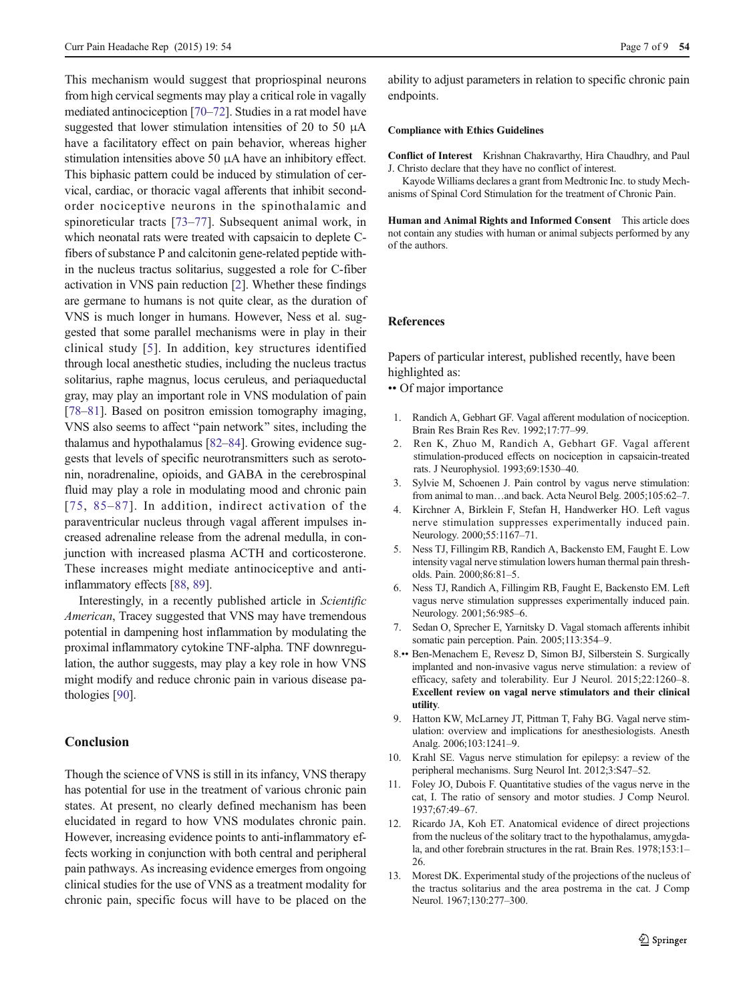<span id="page-6-0"></span>This mechanism would suggest that propriospinal neurons from high cervical segments may play a critical role in vagally mediated antinociception [\[70](#page-8-0)–[72\]](#page-8-0). Studies in a rat model have suggested that lower stimulation intensities of 20 to 50 μA have a facilitatory effect on pain behavior, whereas higher stimulation intensities above 50 μA have an inhibitory effect. This biphasic pattern could be induced by stimulation of cervical, cardiac, or thoracic vagal afferents that inhibit secondorder nociceptive neurons in the spinothalamic and spinoreticular tracts [\[73](#page-8-0)–[77\]](#page-8-0). Subsequent animal work, in which neonatal rats were treated with capsaicin to deplete Cfibers of substance P and calcitonin gene-related peptide within the nucleus tractus solitarius, suggested a role for C-fiber activation in VNS pain reduction [2]. Whether these findings are germane to humans is not quite clear, as the duration of VNS is much longer in humans. However, Ness et al. suggested that some parallel mechanisms were in play in their clinical study [5]. In addition, key structures identified through local anesthetic studies, including the nucleus tractus solitarius, raphe magnus, locus ceruleus, and periaqueductal gray, may play an important role in VNS modulation of pain [\[78](#page-8-0)–[81\]](#page-8-0). Based on positron emission tomography imaging, VNS also seems to affect "pain network" sites, including the thalamus and hypothalamus [\[82](#page-8-0)–[84\]](#page-8-0). Growing evidence suggests that levels of specific neurotransmitters such as serotonin, noradrenaline, opioids, and GABA in the cerebrospinal fluid may play a role in modulating mood and chronic pain [[75](#page-8-0), [85](#page-8-0)–[87\]](#page-8-0). In addition, indirect activation of the paraventricular nucleus through vagal afferent impulses increased adrenaline release from the adrenal medulla, in conjunction with increased plasma ACTH and corticosterone. These increases might mediate antinociceptive and antiinflammatory effects [\[88](#page-8-0), [89\]](#page-8-0).

Interestingly, in a recently published article in Scientific American, Tracey suggested that VNS may have tremendous potential in dampening host inflammation by modulating the proximal inflammatory cytokine TNF-alpha. TNF downregulation, the author suggests, may play a key role in how VNS might modify and reduce chronic pain in various disease pathologies [\[90\]](#page-8-0).

# Conclusion

Though the science of VNS is still in its infancy, VNS therapy has potential for use in the treatment of various chronic pain states. At present, no clearly defined mechanism has been elucidated in regard to how VNS modulates chronic pain. However, increasing evidence points to anti-inflammatory effects working in conjunction with both central and peripheral pain pathways. As increasing evidence emerges from ongoing clinical studies for the use of VNS as a treatment modality for chronic pain, specific focus will have to be placed on the

ability to adjust parameters in relation to specific chronic pain endpoints.

#### Compliance with Ethics Guidelines

Conflict of Interest Krishnan Chakravarthy, Hira Chaudhry, and Paul J. Christo declare that they have no conflict of interest.

Kayode Williams declares a grant from Medtronic Inc. to study Mechanisms of Spinal Cord Stimulation for the treatment of Chronic Pain.

Human and Animal Rights and Informed Consent This article does not contain any studies with human or animal subjects performed by any of the authors.

### References

Papers of particular interest, published recently, have been highlighted as:

•• Of major importance

- 1. Randich A, Gebhart GF. Vagal afferent modulation of nociception. Brain Res Brain Res Rev. 1992;17:77–99.
- 2. Ren K, Zhuo M, Randich A, Gebhart GF. Vagal afferent stimulation-produced effects on nociception in capsaicin-treated rats. J Neurophysiol. 1993;69:1530–40.
- 3. Sylvie M, Schoenen J. Pain control by vagus nerve stimulation: from animal to man…and back. Acta Neurol Belg. 2005;105:62–7.
- 4. Kirchner A, Birklein F, Stefan H, Handwerker HO. Left vagus nerve stimulation suppresses experimentally induced pain. Neurology. 2000;55:1167–71.
- 5. Ness TJ, Fillingim RB, Randich A, Backensto EM, Faught E. Low intensity vagal nerve stimulation lowers human thermal pain thresholds. Pain. 2000;86:81–5.
- 6. Ness TJ, Randich A, Fillingim RB, Faught E, Backensto EM. Left vagus nerve stimulation suppresses experimentally induced pain. Neurology. 2001;56:985–6.
- 7. Sedan O, Sprecher E, Yarnitsky D. Vagal stomach afferents inhibit somatic pain perception. Pain. 2005;113:354–9.
- 8.•• Ben-Menachem E, Revesz D, Simon BJ, Silberstein S. Surgically implanted and non-invasive vagus nerve stimulation: a review of efficacy, safety and tolerability. Eur J Neurol. 2015;22:1260–8. Excellent review on vagal nerve stimulators and their clinical utility.
- 9. Hatton KW, McLarney JT, Pittman T, Fahy BG. Vagal nerve stimulation: overview and implications for anesthesiologists. Anesth Analg. 2006;103:1241–9.
- 10. Krahl SE. Vagus nerve stimulation for epilepsy: a review of the peripheral mechanisms. Surg Neurol Int. 2012;3:S47–52.
- 11. Foley JO, Dubois F. Quantitative studies of the vagus nerve in the cat, I. The ratio of sensory and motor studies. J Comp Neurol. 1937;67:49–67.
- 12. Ricardo JA, Koh ET. Anatomical evidence of direct projections from the nucleus of the solitary tract to the hypothalamus, amygdala, and other forebrain structures in the rat. Brain Res. 1978;153:1– 26.
- 13. Morest DK. Experimental study of the projections of the nucleus of the tractus solitarius and the area postrema in the cat. J Comp Neurol. 1967;130:277–300.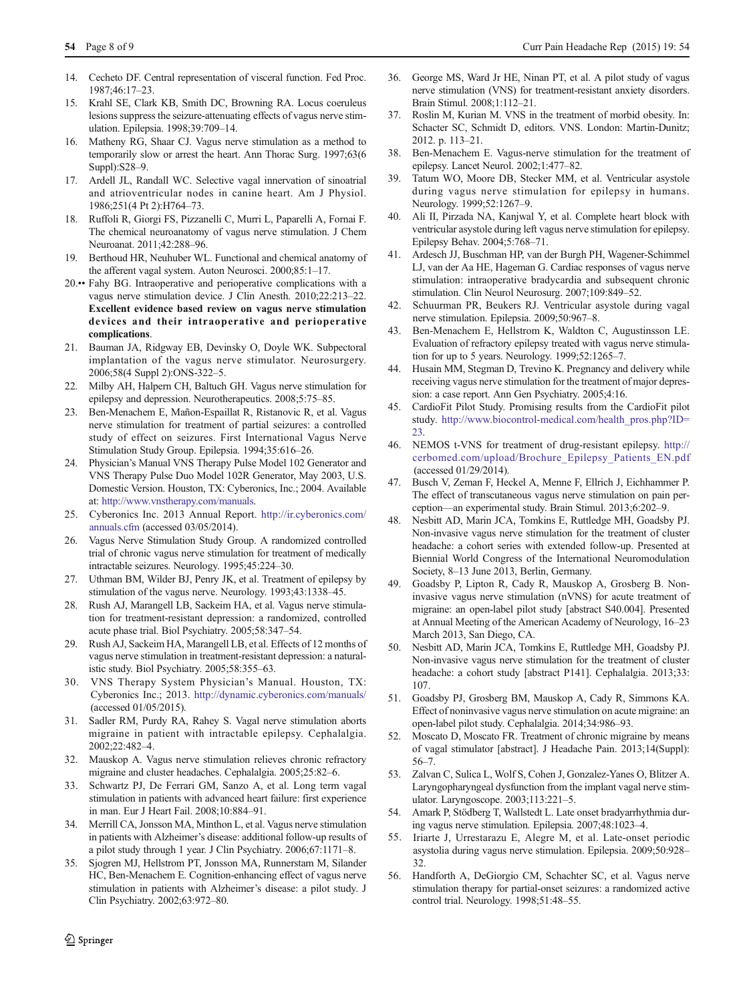- <span id="page-7-0"></span>14. Cecheto DF. Central representation of visceral function. Fed Proc. 1987;46:17–23.
- 15. Krahl SE, Clark KB, Smith DC, Browning RA. Locus coeruleus lesions suppress the seizure-attenuating effects of vagus nerve stimulation. Epilepsia. 1998;39:709–14.
- 16. Matheny RG, Shaar CJ. Vagus nerve stimulation as a method to temporarily slow or arrest the heart. Ann Thorac Surg. 1997;63(6 Suppl):S28–9.
- 17. Ardell JL, Randall WC. Selective vagal innervation of sinoatrial and atrioventricular nodes in canine heart. Am J Physiol. 1986;251(4 Pt 2):H764–73.
- 18. Ruffoli R, Giorgi FS, Pizzanelli C, Murri L, Paparelli A, Fornai F. The chemical neuroanatomy of vagus nerve stimulation. J Chem Neuroanat. 2011;42:288–96.
- 19. Berthoud HR, Neuhuber WL. Functional and chemical anatomy of the afferent vagal system. Auton Neurosci. 2000;85:1–17.
- 20.•• Fahy BG. Intraoperative and perioperative complications with a vagus nerve stimulation device. J Clin Anesth. 2010;22:213–22. Excellent evidence based review on vagus nerve stimulation devices and their intraoperative and perioperative complications.
- 21. Bauman JA, Ridgway EB, Devinsky O, Doyle WK. Subpectoral implantation of the vagus nerve stimulator. Neurosurgery. 2006;58(4 Suppl 2):ONS-322–5.
- 22. Milby AH, Halpern CH, Baltuch GH. Vagus nerve stimulation for epilepsy and depression. Neurotherapeutics. 2008;5:75–85.
- 23. Ben-Menachem E, Mañon-Espaillat R, Ristanovic R, et al. Vagus nerve stimulation for treatment of partial seizures: a controlled study of effect on seizures. First International Vagus Nerve Stimulation Study Group. Epilepsia. 1994;35:616–26.
- 24. Physician's Manual VNS Therapy Pulse Model 102 Generator and VNS Therapy Pulse Duo Model 102R Generator, May 2003, U.S. Domestic Version. Houston, TX: Cyberonics, Inc.; 2004. Available at: <http://www.vnstherapy.com/manuals>.
- 25. Cyberonics Inc. 2013 Annual Report. [http://ir.cyberonics.com/](http://ir.cyberonics.com/annuals.cfm) [annuals.cfm](http://ir.cyberonics.com/annuals.cfm) (accessed 03/05/2014).
- 26. Vagus Nerve Stimulation Study Group. A randomized controlled trial of chronic vagus nerve stimulation for treatment of medically intractable seizures. Neurology. 1995;45:224–30.
- 27. Uthman BM, Wilder BJ, Penry JK, et al. Treatment of epilepsy by stimulation of the vagus nerve. Neurology. 1993;43:1338–45.
- 28. Rush AJ, Marangell LB, Sackeim HA, et al. Vagus nerve stimulation for treatment-resistant depression: a randomized, controlled acute phase trial. Biol Psychiatry. 2005;58:347–54.
- 29. Rush AJ, Sackeim HA, Marangell LB, et al. Effects of 12 months of vagus nerve stimulation in treatment-resistant depression: a naturalistic study. Biol Psychiatry. 2005;58:355–63.
- 30. VNS Therapy System Physician's Manual. Houston, TX: Cyberonics Inc.; 2013. <http://dynamic.cyberonics.com/manuals/> (accessed 01/05/2015).
- 31. Sadler RM, Purdy RA, Rahey S. Vagal nerve stimulation aborts migraine in patient with intractable epilepsy. Cephalalgia. 2002;22:482–4.
- 32. Mauskop A. Vagus nerve stimulation relieves chronic refractory migraine and cluster headaches. Cephalalgia. 2005;25:82–6.
- 33. Schwartz PJ, De Ferrari GM, Sanzo A, et al. Long term vagal stimulation in patients with advanced heart failure: first experience in man. Eur J Heart Fail. 2008;10:884–91.
- 34. Merrill CA, Jonsson MA, Minthon L, et al. Vagus nerve stimulation in patients with Alzheimer's disease: additional follow-up results of a pilot study through 1 year. J Clin Psychiatry. 2006;67:1171–8.
- 35. Sjogren MJ, Hellstrom PT, Jonsson MA, Runnerstam M, Silander HC, Ben-Menachem E. Cognition-enhancing effect of vagus nerve stimulation in patients with Alzheimer's disease: a pilot study. J Clin Psychiatry. 2002;63:972–80.
- 36. George MS, Ward Jr HE, Ninan PT, et al. A pilot study of vagus nerve stimulation (VNS) for treatment-resistant anxiety disorders. Brain Stimul. 2008;1:112–21.
- 37. Roslin M, Kurian M. VNS in the treatment of morbid obesity. In: Schacter SC, Schmidt D, editors. VNS. London: Martin-Dunitz; 2012. p. 113–21.
- 38. Ben-Menachem E. Vagus-nerve stimulation for the treatment of epilepsy. Lancet Neurol. 2002;1:477–82.
- 39. Tatum WO, Moore DB, Stecker MM, et al. Ventricular asystole during vagus nerve stimulation for epilepsy in humans. Neurology. 1999;52:1267–9.
- 40. Ali II, Pirzada NA, Kanjwal Y, et al. Complete heart block with ventricular asystole during left vagus nerve stimulation for epilepsy. Epilepsy Behav. 2004;5:768–71.
- 41. Ardesch JJ, Buschman HP, van der Burgh PH, Wagener-Schimmel LJ, van der Aa HE, Hageman G. Cardiac responses of vagus nerve stimulation: intraoperative bradycardia and subsequent chronic stimulation. Clin Neurol Neurosurg. 2007;109:849–52.
- 42. Schuurman PR, Beukers RJ. Ventricular asystole during vagal nerve stimulation. Epilepsia. 2009;50:967–8.
- 43. Ben-Menachem E, Hellstrom K, Waldton C, Augustinsson LE. Evaluation of refractory epilepsy treated with vagus nerve stimulation for up to 5 years. Neurology. 1999;52:1265–7.
- 44. Husain MM, Stegman D, Trevino K. Pregnancy and delivery while receiving vagus nerve stimulation for the treatment of major depression: a case report. Ann Gen Psychiatry. 2005;4:16.
- 45. CardioFit Pilot Study. Promising results from the CardioFit pilot study. [http://www.biocontrol-medical.com/health\\_pros.php?ID=](http://www.biocontrol-medical.com/health_pros.php?ID=23) [23](http://www.biocontrol-medical.com/health_pros.php?ID=23).
- 46. NEMOS t-VNS for treatment of drug-resistant epilepsy. [http://](http://cerbomed.com/upload/Brochure_Epilepsy_Patients_EN.pdf) [cerbomed.com/upload/Brochure\\_Epilepsy\\_Patients\\_EN.pdf](http://cerbomed.com/upload/Brochure_Epilepsy_Patients_EN.pdf) (accessed 01/29/2014).
- 47. Busch V, Zeman F, Heckel A, Menne F, Ellrich J, Eichhammer P. The effect of transcutaneous vagus nerve stimulation on pain perception—an experimental study. Brain Stimul. 2013;6:202–9.
- 48. Nesbitt AD, Marin JCA, Tomkins E, Ruttledge MH, Goadsby PJ. Non-invasive vagus nerve stimulation for the treatment of cluster headache: a cohort series with extended follow-up. Presented at Biennial World Congress of the International Neuromodulation Society, 8–13 June 2013, Berlin, Germany.
- 49. Goadsby P, Lipton R, Cady R, Mauskop A, Grosberg B. Noninvasive vagus nerve stimulation (nVNS) for acute treatment of migraine: an open-label pilot study [abstract S40.004]. Presented at Annual Meeting of the American Academy of Neurology, 16–23 March 2013, San Diego, CA.
- Nesbitt AD, Marin JCA, Tomkins E, Ruttledge MH, Goadsby PJ. Non-invasive vagus nerve stimulation for the treatment of cluster headache: a cohort study [abstract P141]. Cephalalgia. 2013;33: 107.
- 51. Goadsby PJ, Grosberg BM, Mauskop A, Cady R, Simmons KA. Effect of noninvasive vagus nerve stimulation on acute migraine: an open-label pilot study. Cephalalgia. 2014;34:986–93.
- 52. Moscato D, Moscato FR. Treatment of chronic migraine by means of vagal stimulator [abstract]. J Headache Pain. 2013;14(Suppl): 56–7.
- 53. Zalvan C, Sulica L, Wolf S, Cohen J, Gonzalez-Yanes O, Blitzer A. Laryngopharyngeal dysfunction from the implant vagal nerve stimulator. Laryngoscope. 2003;113:221–5.
- 54. Amark P, Stödberg T, Wallstedt L. Late onset bradyarrhythmia during vagus nerve stimulation. Epilepsia. 2007;48:1023–4.
- 55. Iriarte J, Urrestarazu E, Alegre M, et al. Late-onset periodic asystolia during vagus nerve stimulation. Epilepsia. 2009;50:928– 32.
- 56. Handforth A, DeGiorgio CM, Schachter SC, et al. Vagus nerve stimulation therapy for partial-onset seizures: a randomized active control trial. Neurology. 1998;51:48–55.